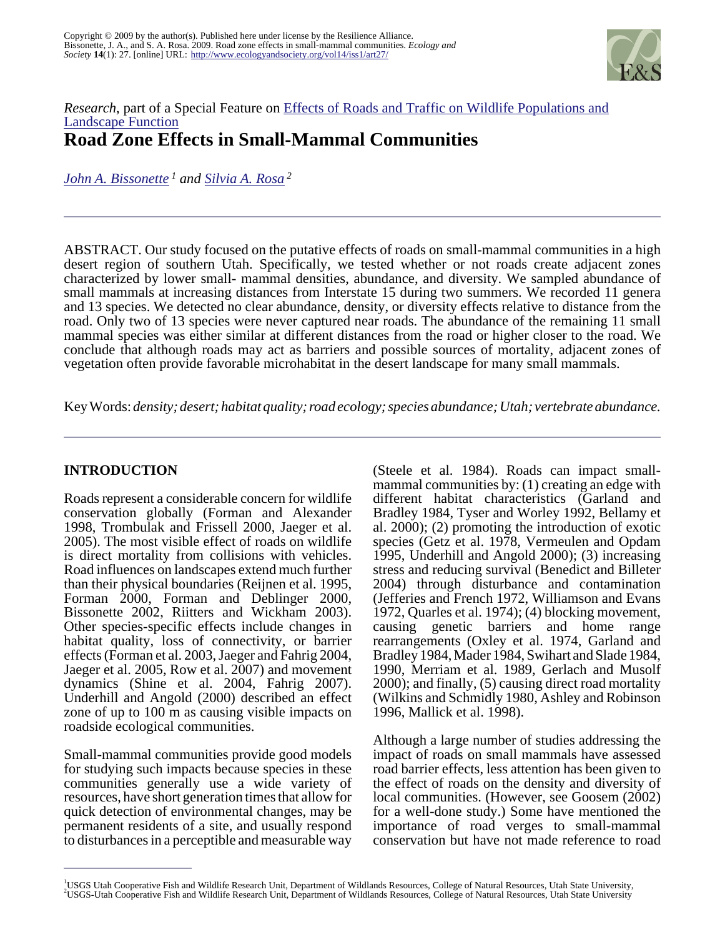

#### *Research*, part of a Special Feature on [Effects of Roads and Traffic on Wildlife Populations and](http://www.ecologyandsociety.org/viewissue.php?sf=41) [Landscape Function](http://www.ecologyandsociety.org/viewissue.php?sf=41) **Road Zone Effects in Small-Mammal Communities**

*[John A. Bissonette](mailto:john.bissonette@usu.edu)<sup>1</sup> and [Silvia A. Rosa](mailto:silviarosa2007@gmail.com)<sup>2</sup>*

ABSTRACT. Our study focused on the putative effects of roads on small-mammal communities in a high desert region of southern Utah. Specifically, we tested whether or not roads create adjacent zones characterized by lower small- mammal densities, abundance, and diversity. We sampled abundance of small mammals at increasing distances from Interstate 15 during two summers. We recorded 11 genera and 13 species. We detected no clear abundance, density, or diversity effects relative to distance from the road. Only two of 13 species were never captured near roads. The abundance of the remaining 11 small mammal species was either similar at different distances from the road or higher closer to the road. We conclude that although roads may act as barriers and possible sources of mortality, adjacent zones of vegetation often provide favorable microhabitat in the desert landscape for many small mammals.

Key Words: *density; desert; habitat quality; road ecology; species abundance; Utah; vertebrate abundance.*

### **INTRODUCTION**

Roads represent a considerable concern for wildlife conservation globally (Forman and Alexander 1998, Trombulak and Frissell 2000, Jaeger et al. 2005). The most visible effect of roads on wildlife is direct mortality from collisions with vehicles. Road influences on landscapes extend much further than their physical boundaries (Reijnen et al. 1995, Forman 2000, Forman and Deblinger 2000, Bissonette 2002, Riitters and Wickham 2003). Other species-specific effects include changes in habitat quality, loss of connectivity, or barrier effects (Forman et al. 2003, Jaeger and Fahrig 2004, Jaeger et al. 2005, Row et al. 2007) and movement dynamics (Shine et al. 2004, Fahrig 2007). Underhill and Angold (2000) described an effect zone of up to 100 m as causing visible impacts on roadside ecological communities.

Small-mammal communities provide good models for studying such impacts because species in these communities generally use a wide variety of resources, have short generation times that allow for quick detection of environmental changes, may be permanent residents of a site, and usually respond to disturbances in a perceptible and measurable way

(Steele et al. 1984). Roads can impact smallmammal communities by: (1) creating an edge with different habitat characteristics (Garland and Bradley 1984, Tyser and Worley 1992, Bellamy et al. 2000); (2) promoting the introduction of exotic species (Getz et al. 1978, Vermeulen and Opdam 1995, Underhill and Angold 2000); (3) increasing stress and reducing survival (Benedict and Billeter 2004) through disturbance and contamination (Jefferies and French 1972, Williamson and Evans 1972, Quarles et al. 1974); (4) blocking movement, causing genetic barriers and home range rearrangements (Oxley et al. 1974, Garland and Bradley 1984, Mader 1984, Swihart and Slade 1984, 1990, Merriam et al. 1989, Gerlach and Musolf 2000); and finally, (5) causing direct road mortality (Wilkins and Schmidly 1980, Ashley and Robinson 1996, Mallick et al. 1998).

Although a large number of studies addressing the impact of roads on small mammals have assessed road barrier effects, less attention has been given to the effect of roads on the density and diversity of local communities. (However, see Goosem (2002) for a well-done study.) Some have mentioned the importance of road verges to small-mammal conservation but have not made reference to road

<sup>1</sup>USGS Utah Cooperative Fish and Wildlife Research Unit, Department of Wildlands Resources, College of Natural Resources, Utah State University, <sup>2</sup>USGS-Utah Cooperative Fish and Wildlife Research Unit, Department of Wildlands Resources, College of Natural Resources, Utah State University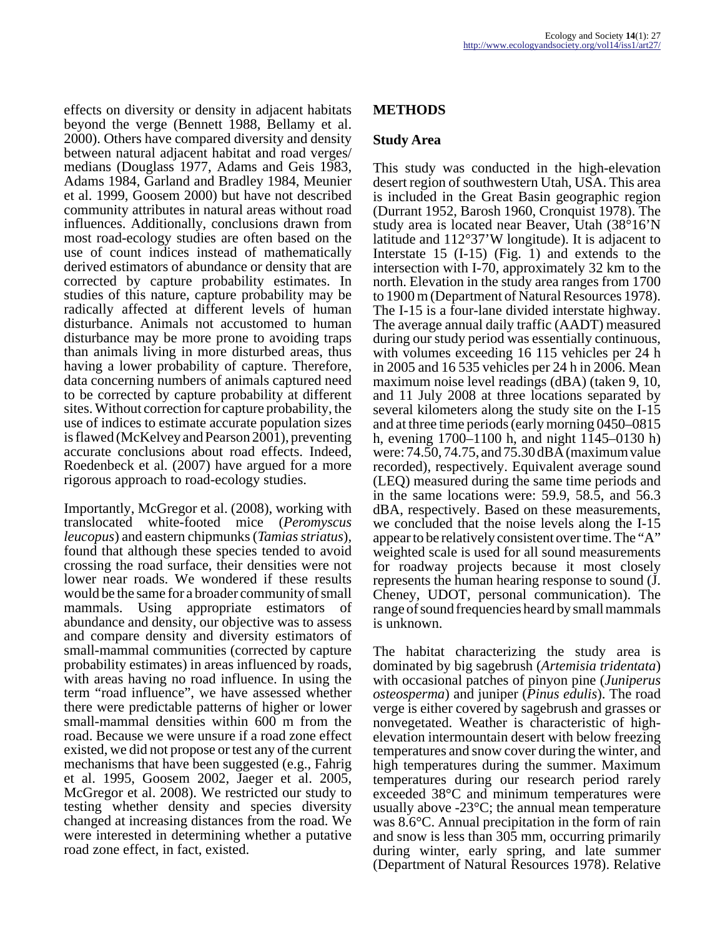effects on diversity or density in adjacent habitats beyond the verge (Bennett 1988, Bellamy et al. 2000). Others have compared diversity and density between natural adjacent habitat and road verges/ medians (Douglass 1977, Adams and Geis 1983, Adams 1984, Garland and Bradley 1984, Meunier et al. 1999, Goosem 2000) but have not described community attributes in natural areas without road influences. Additionally, conclusions drawn from most road-ecology studies are often based on the use of count indices instead of mathematically derived estimators of abundance or density that are corrected by capture probability estimates. In studies of this nature, capture probability may be radically affected at different levels of human disturbance. Animals not accustomed to human disturbance may be more prone to avoiding traps than animals living in more disturbed areas, thus having a lower probability of capture. Therefore, data concerning numbers of animals captured need to be corrected by capture probability at different sites. Without correction for capture probability, the use of indices to estimate accurate population sizes is flawed (McKelvey and Pearson 2001), preventing accurate conclusions about road effects. Indeed, Roedenbeck et al. (2007) have argued for a more rigorous approach to road-ecology studies.

Importantly, McGregor et al. (2008), working with translocated white-footed mice (*Peromyscus leucopus*) and eastern chipmunks (*Tamias striatus*), found that although these species tended to avoid crossing the road surface, their densities were not lower near roads. We wondered if these results would be the same for a broader community of small mammals. Using appropriate estimators of abundance and density, our objective was to assess and compare density and diversity estimators of small-mammal communities (corrected by capture probability estimates) in areas influenced by roads, with areas having no road influence. In using the term "road influence", we have assessed whether there were predictable patterns of higher or lower small-mammal densities within 600 m from the road. Because we were unsure if a road zone effect existed, we did not propose or test any of the current mechanisms that have been suggested (e.g., Fahrig et al. 1995, Goosem 2002, Jaeger et al. 2005, McGregor et al. 2008). We restricted our study to testing whether density and species diversity changed at increasing distances from the road. We were interested in determining whether a putative road zone effect, in fact, existed.

# **METHODS**

#### **Study Area**

This study was conducted in the high-elevation desert region of southwestern Utah, USA. This area is included in the Great Basin geographic region (Durrant 1952, Barosh 1960, Cronquist 1978). The study area is located near Beaver, Utah (38°16'N latitude and 112°37'W longitude). It is adjacent to Interstate 15 (I-15) (Fig. 1) and extends to the intersection with I-70, approximately 32 km to the north. Elevation in the study area ranges from 1700 to 1900 m (Department of Natural Resources 1978). The I-15 is a four-lane divided interstate highway. The average annual daily traffic (AADT) measured during our study period was essentially continuous, with volumes exceeding 16 115 vehicles per 24 h in 2005 and 16 535 vehicles per 24 h in 2006. Mean maximum noise level readings (dBA) (taken 9, 10, and 11 July 2008 at three locations separated by several kilometers along the study site on the I-15 and at three time periods (early morning 0450–0815 h, evening 1700–1100 h, and night 1145–0130 h) were: 74.50, 74.75, and 75.30 dBA (maximum value recorded), respectively. Equivalent average sound (LEQ) measured during the same time periods and in the same locations were: 59.9, 58.5, and 56.3 dBA, respectively. Based on these measurements, we concluded that the noise levels along the I-15 appear to be relatively consistent over time. The "A" weighted scale is used for all sound measurements for roadway projects because it most closely represents the human hearing response to sound (J. Cheney, UDOT, personal communication). The range of sound frequencies heard by small mammals is unknown.

The habitat characterizing the study area is dominated by big sagebrush (*Artemisia tridentata*) with occasional patches of pinyon pine (*Juniperus osteosperma*) and juniper (*Pinus edulis*). The road verge is either covered by sagebrush and grasses or nonvegetated. Weather is characteristic of highelevation intermountain desert with below freezing temperatures and snow cover during the winter, and high temperatures during the summer. Maximum temperatures during our research period rarely exceeded 38°C and minimum temperatures were usually above -23°C; the annual mean temperature was 8.6°C. Annual precipitation in the form of rain and snow is less than 305 mm, occurring primarily during winter, early spring, and late summer (Department of Natural Resources 1978). Relative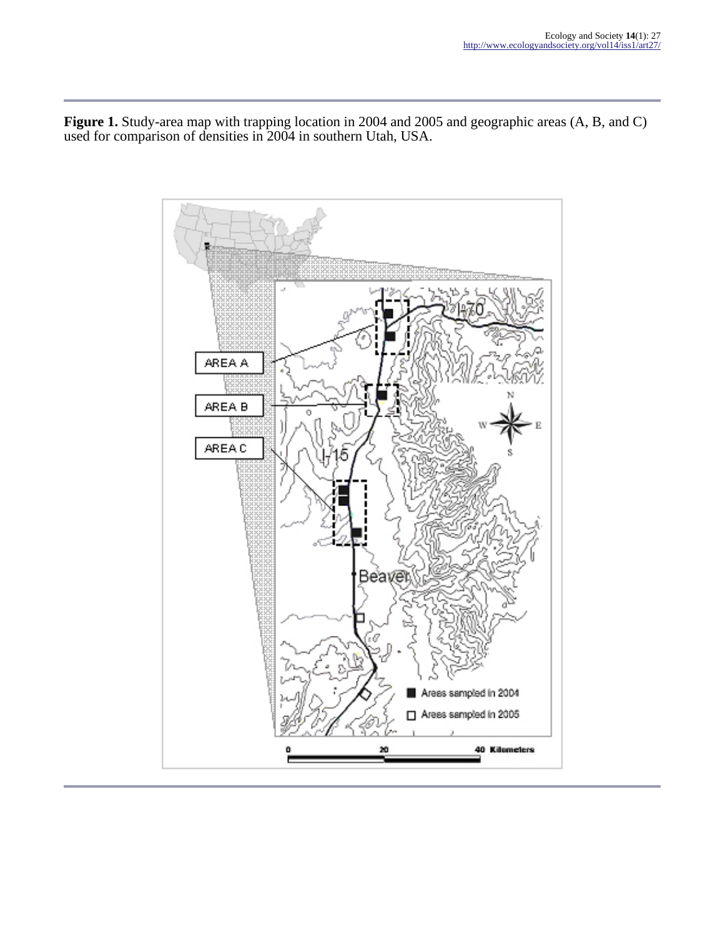**Figure 1.** Study-area map with trapping location in 2004 and 2005 and geographic areas (A, B, and C) used for comparison of densities in 2004 in southern Utah, USA.

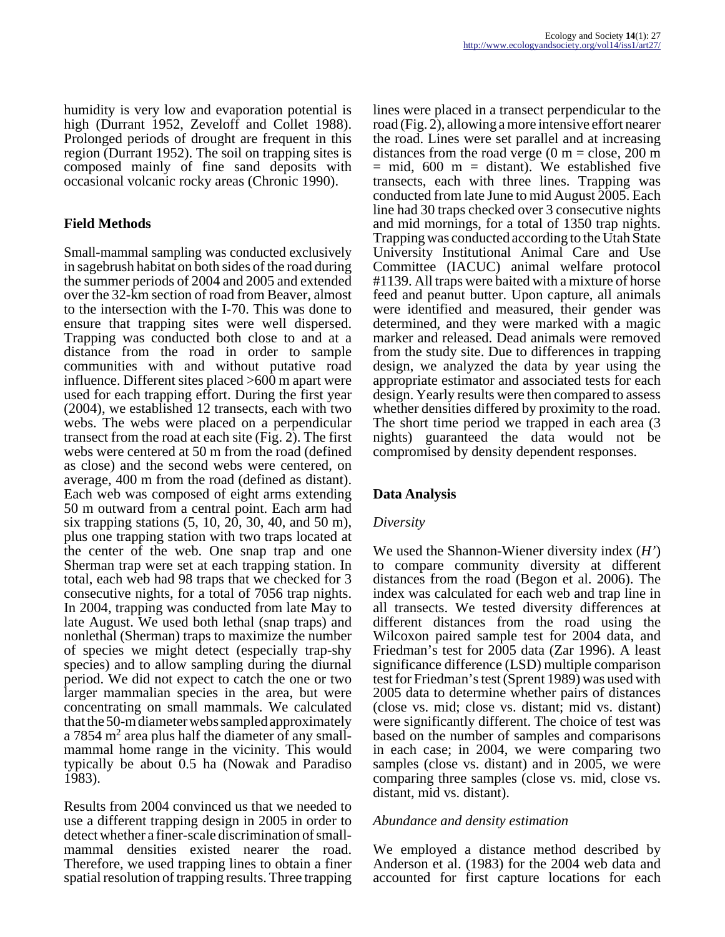humidity is very low and evaporation potential is high (Durrant 1952, Zeveloff and Collet 1988). Prolonged periods of drought are frequent in this region (Durrant 1952). The soil on trapping sites is composed mainly of fine sand deposits with occasional volcanic rocky areas (Chronic 1990).

# **Field Methods**

Small-mammal sampling was conducted exclusively in sagebrush habitat on both sides of the road during the summer periods of 2004 and 2005 and extended over the 32-km section of road from Beaver, almost to the intersection with the I-70. This was done to ensure that trapping sites were well dispersed. Trapping was conducted both close to and at a distance from the road in order to sample communities with and without putative road influence. Different sites placed >600 m apart were used for each trapping effort. During the first year (2004), we established 12 transects, each with two webs. The webs were placed on a perpendicular transect from the road at each site (Fig. 2). The first webs were centered at 50 m from the road (defined as close) and the second webs were centered, on average, 400 m from the road (defined as distant). Each web was composed of eight arms extending 50 m outward from a central point. Each arm had six trapping stations (5, 10, 20, 30, 40, and 50 m), plus one trapping station with two traps located at the center of the web. One snap trap and one Sherman trap were set at each trapping station. In total, each web had 98 traps that we checked for 3 consecutive nights, for a total of 7056 trap nights. In 2004, trapping was conducted from late May to late August. We used both lethal (snap traps) and nonlethal (Sherman) traps to maximize the number of species we might detect (especially trap-shy species) and to allow sampling during the diurnal period. We did not expect to catch the one or two larger mammalian species in the area, but were concentrating on small mammals. We calculated that the 50-m diameter webs sampled approximately a 7854 m<sup>2</sup> area plus half the diameter of any smallmammal home range in the vicinity. This would typically be about 0.5 ha (Nowak and Paradiso 1983).

Results from 2004 convinced us that we needed to use a different trapping design in 2005 in order to detect whether a finer-scale discrimination of smallmammal densities existed nearer the road. Therefore, we used trapping lines to obtain a finer spatial resolution of trapping results. Three trapping

lines were placed in a transect perpendicular to the road (Fig. 2), allowing a more intensive effort nearer the road. Lines were set parallel and at increasing distances from the road verge  $(0 \text{ m} = \text{close}, 200 \text{ m})$  $=$  mid, 600 m  $=$  distant). We established five transects, each with three lines. Trapping was conducted from late June to mid August 2005. Each line had 30 traps checked over 3 consecutive nights and mid mornings, for a total of 1350 trap nights. Trapping was conducted according to the Utah State University Institutional Animal Care and Use Committee (IACUC) animal welfare protocol #1139. All traps were baited with a mixture of horse feed and peanut butter. Upon capture, all animals were identified and measured, their gender was determined, and they were marked with a magic marker and released. Dead animals were removed from the study site. Due to differences in trapping design, we analyzed the data by year using the appropriate estimator and associated tests for each design. Yearly results were then compared to assess whether densities differed by proximity to the road. The short time period we trapped in each area (3 nights) guaranteed the data would not be compromised by density dependent responses.

# **Data Analysis**

### *Diversity*

We used the Shannon-Wiener diversity index (*H'*) to compare community diversity at different distances from the road (Begon et al. 2006). The index was calculated for each web and trap line in all transects. We tested diversity differences at different distances from the road using the Wilcoxon paired sample test for 2004 data, and Friedman's test for 2005 data (Zar 1996). A least significance difference (LSD) multiple comparison test for Friedman's test (Sprent 1989) was used with 2005 data to determine whether pairs of distances (close vs. mid; close vs. distant; mid vs. distant) were significantly different. The choice of test was based on the number of samples and comparisons in each case; in 2004, we were comparing two samples (close vs. distant) and in 2005, we were comparing three samples (close vs. mid, close vs. distant, mid vs. distant).

### *Abundance and density estimation*

We employed a distance method described by Anderson et al. (1983) for the 2004 web data and accounted for first capture locations for each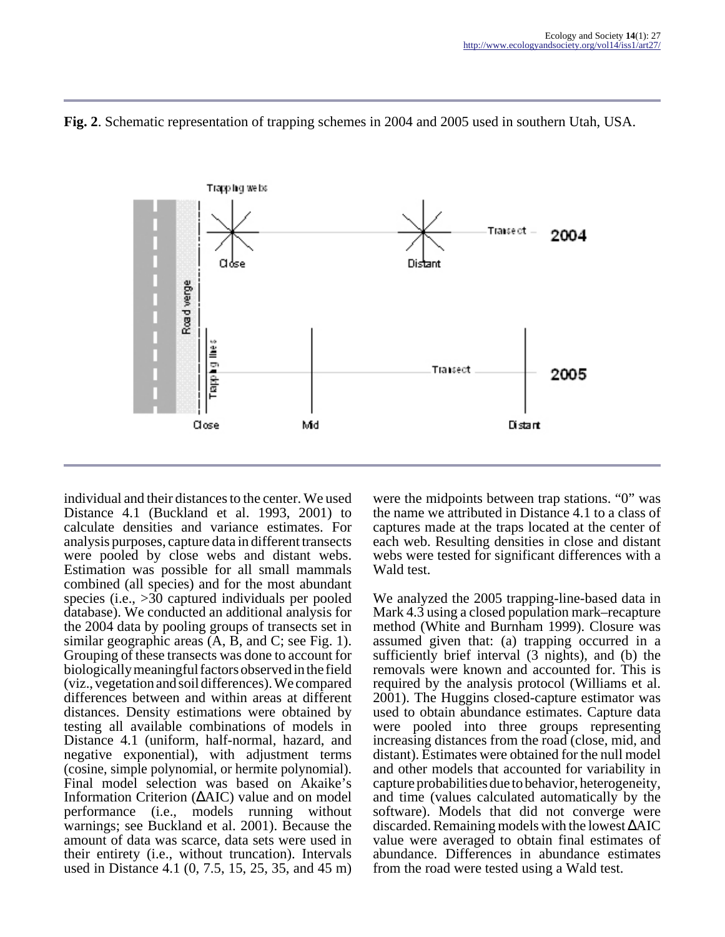

**Fig. 2**. Schematic representation of trapping schemes in 2004 and 2005 used in southern Utah, USA.

individual and their distances to the center. We used Distance 4.1 (Buckland et al. 1993, 2001) to calculate densities and variance estimates. For analysis purposes, capture data in different transects were pooled by close webs and distant webs. Estimation was possible for all small mammals combined (all species) and for the most abundant species (i.e., >30 captured individuals per pooled database). We conducted an additional analysis for the 2004 data by pooling groups of transects set in similar geographic areas  $(A, B, and C;$  see Fig. 1). Grouping of these transects was done to account for biologically meaningful factors observed in the field (viz., vegetation and soil differences). We compared differences between and within areas at different distances. Density estimations were obtained by testing all available combinations of models in Distance 4.1 (uniform, half-normal, hazard, and negative exponential), with adjustment terms (cosine, simple polynomial, or hermite polynomial). Final model selection was based on Akaike's Information Criterion (∆AIC) value and on model performance (i.e., models running without warnings; see Buckland et al. 2001). Because the amount of data was scarce, data sets were used in their entirety (i.e., without truncation). Intervals used in Distance 4.1 (0, 7.5, 15, 25, 35, and 45 m)

were the midpoints between trap stations. "0" was the name we attributed in Distance 4.1 to a class of captures made at the traps located at the center of each web. Resulting densities in close and distant webs were tested for significant differences with a Wald test.

We analyzed the 2005 trapping-line-based data in Mark 4.3 using a closed population mark–recapture method (White and Burnham 1999). Closure was assumed given that: (a) trapping occurred in a sufficiently brief interval (3 nights), and (b) the removals were known and accounted for. This is required by the analysis protocol (Williams et al. 2001). The Huggins closed-capture estimator was used to obtain abundance estimates. Capture data were pooled into three groups representing increasing distances from the road (close, mid, and distant). Estimates were obtained for the null model and other models that accounted for variability in capture probabilities due to behavior, heterogeneity, and time (values calculated automatically by the software). Models that did not converge were discarded. Remaining models with the lowest ∆AIC value were averaged to obtain final estimates of abundance. Differences in abundance estimates from the road were tested using a Wald test.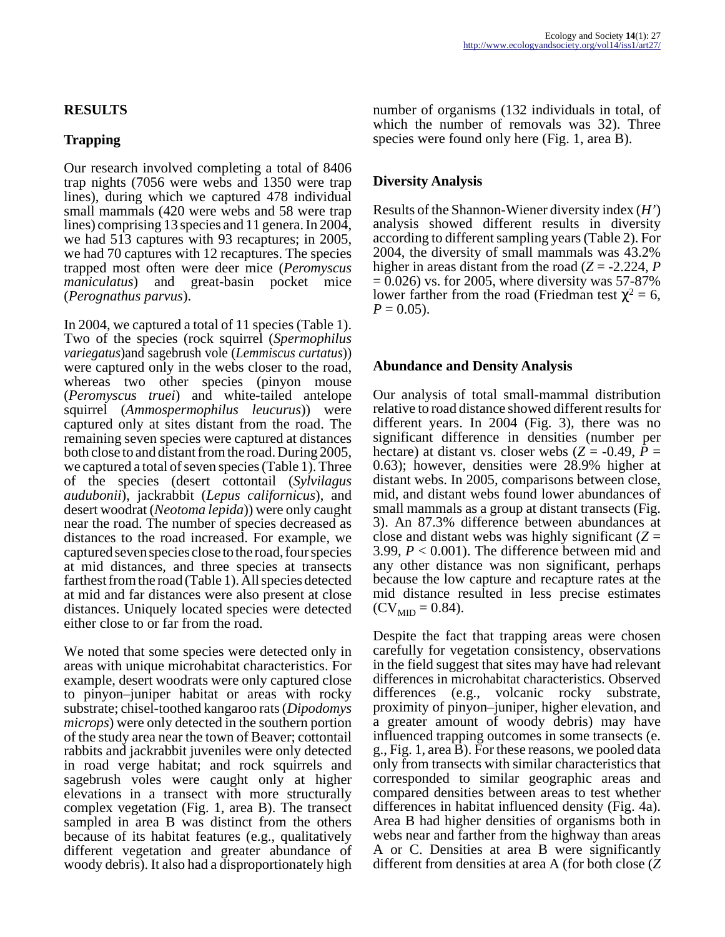### **RESULTS**

#### **Trapping**

Our research involved completing a total of 8406 trap nights (7056 were webs and 1350 were trap lines), during which we captured 478 individual small mammals (420 were webs and 58 were trap lines) comprising 13 species and 11 genera. In 2004, we had 513 captures with 93 recaptures; in 2005, we had 70 captures with 12 recaptures. The species trapped most often were deer mice (*Peromyscus maniculatus*) and great-basin pocket mice (*Perognathus parvus*).

In 2004, we captured a total of 11 species (Table 1). Two of the species (rock squirrel (*Spermophilus variegatus*)and sagebrush vole (*Lemmiscus curtatus*)) were captured only in the webs closer to the road, whereas two other species (pinyon mouse (*Peromyscus truei*) and white-tailed antelope squirrel (*Ammospermophilus leucurus*)) were captured only at sites distant from the road. The remaining seven species were captured at distances both close to and distant from the road. During 2005, we captured a total of seven species (Table 1). Three of the species (desert cottontail (*Sylvilagus audubonii*), jackrabbit (*Lepus californicus*), and desert woodrat (*Neotoma lepida*)) were only caught near the road. The number of species decreased as distances to the road increased. For example, we captured seven species close to the road, four species at mid distances, and three species at transects farthest from the road (Table 1). All species detected at mid and far distances were also present at close distances. Uniquely located species were detected either close to or far from the road.

We noted that some species were detected only in areas with unique microhabitat characteristics. For example, desert woodrats were only captured close to pinyon–juniper habitat or areas with rocky substrate; chisel-toothed kangaroo rats (*Dipodomys microps*) were only detected in the southern portion of the study area near the town of Beaver; cottontail rabbits and jackrabbit juveniles were only detected in road verge habitat; and rock squirrels and sagebrush voles were caught only at higher elevations in a transect with more structurally complex vegetation (Fig. 1, area B). The transect sampled in area B was distinct from the others because of its habitat features (e.g., qualitatively different vegetation and greater abundance of woody debris). It also had a disproportionately high

number of organisms (132 individuals in total, of which the number of removals was 32). Three species were found only here (Fig. 1, area B).

#### **Diversity Analysis**

Results of the Shannon-Wiener diversity index (*H'*) analysis showed different results in diversity according to different sampling years (Table 2). For 2004, the diversity of small mammals was 43.2% higher in areas distant from the road  $(Z = -2.224, P)$  $= 0.026$ ) vs. for 2005, where diversity was 57-87% lower farther from the road (Friedman test  $\chi^2 = 6$ ,  $P = 0.05$ .

#### **Abundance and Density Analysis**

Our analysis of total small-mammal distribution relative to road distance showed different results for different years. In 2004 (Fig. 3), there was no significant difference in densities (number per hectare) at distant vs. closer webs  $(Z = -0.49, P =$ 0.63); however, densities were 28.9% higher at distant webs. In 2005, comparisons between close, mid, and distant webs found lower abundances of small mammals as a group at distant transects (Fig. 3). An 87.3% difference between abundances at close and distant webs was highly significant  $(Z =$ 3.99, *P* < 0.001). The difference between mid and any other distance was non significant, perhaps because the low capture and recapture rates at the mid distance resulted in less precise estimates  $(CV<sub>MID</sub> = 0.84).$ 

Despite the fact that trapping areas were chosen carefully for vegetation consistency, observations in the field suggest that sites may have had relevant differences in microhabitat characteristics. Observed differences (e.g., volcanic rocky substrate, proximity of pinyon–juniper, higher elevation, and a greater amount of woody debris) may have influenced trapping outcomes in some transects (e. g., Fig. 1, area B). For these reasons, we pooled data only from transects with similar characteristics that corresponded to similar geographic areas and compared densities between areas to test whether differences in habitat influenced density (Fig. 4a). Area B had higher densities of organisms both in webs near and farther from the highway than areas A or C. Densities at area B were significantly different from densities at area A (for both close (*Z*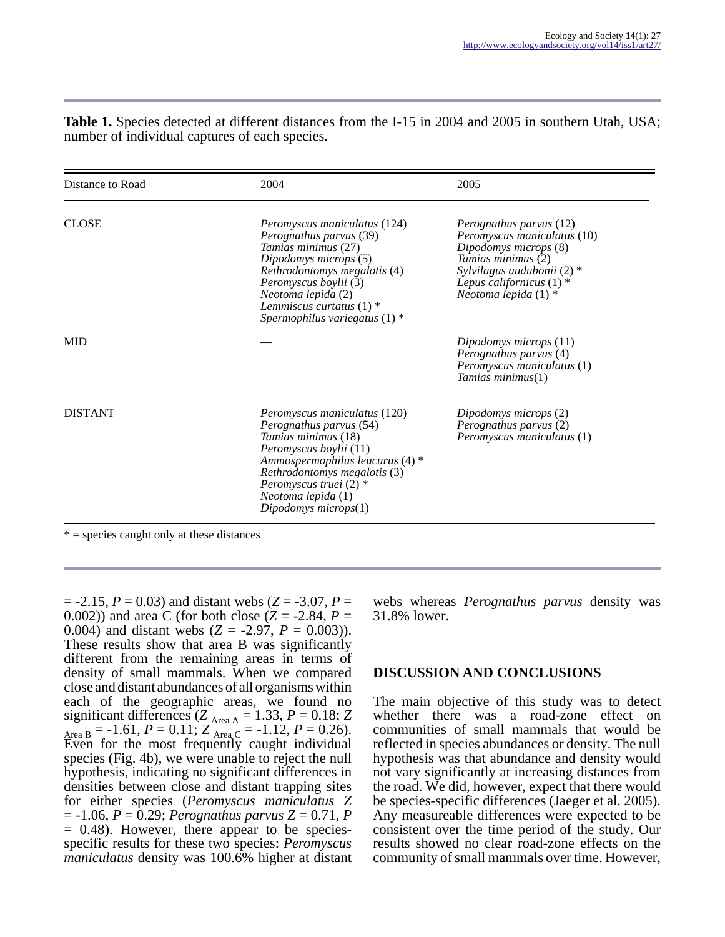| Distance to Road | 2004                                                                                                                                                                                                                                                       | 2005                                                                                                                                                                                        |  |
|------------------|------------------------------------------------------------------------------------------------------------------------------------------------------------------------------------------------------------------------------------------------------------|---------------------------------------------------------------------------------------------------------------------------------------------------------------------------------------------|--|
| <b>CLOSE</b>     | Peromyscus maniculatus (124)<br>Perognathus parvus (39)<br>Tamias minimus (27)<br>Dipodomys microps (5)<br>Rethrodontomys megalotis (4)<br>Peromyscus boylii (3)<br>Neotoma lepida (2)<br>Lemmiscus curtatus $(1)$ *<br>Spermophilus variegatus $(1)$ *    | Perognathus parvus (12)<br>Peromyscus maniculatus (10)<br>Dipodomys microps (8)<br>Tamias minimus (2)<br>Sylvilagus audubonii (2) *<br>Lepus californicus $(1)$ *<br>Neotoma lepida $(1)$ * |  |
| <b>MID</b>       |                                                                                                                                                                                                                                                            | Dipodomys microps (11)<br>Perognathus parvus (4)<br>Peromyscus maniculatus (1)<br>Tamias minimus(1)                                                                                         |  |
| <b>DISTANT</b>   | Peromyscus maniculatus (120)<br>Perognathus parvus (54)<br>Tamias minimus (18)<br>Peromyscus boylii (11)<br>Ammospermophilus leucurus (4) *<br>Rethrodontomys megalotis (3)<br>Peromyscus truei $(2)$ *<br>Neotoma lepida (1)<br>$Dipodomys$ microps $(1)$ | Dipodomys microps (2)<br><i>Perognathus parvus</i> (2)<br>Peromyscus maniculatus (1)                                                                                                        |  |

**Table 1.** Species detected at different distances from the I-15 in 2004 and 2005 in southern Utah, USA; number of individual captures of each species.

 $*$  = species caught only at these distances

 $= -2.15$ ,  $P = 0.03$ ) and distant webs ( $Z = -3.07$ ,  $P =$ 0.002)) and area C (for both close  $(Z = -2.84, P =$ 0.004) and distant webs  $(Z = -2.97, P = 0.003)$ . These results show that area B was significantly different from the remaining areas in terms of density of small mammals. When we compared close and distant abundances of all organisms within each of the geographic areas, we found no significant differences ( $Z_{Area A} = 1.33, P = 0.18; Z$  $A_{\text{Area B}} = -1.61, P = 0.11; Z_{\text{Area C}} = -1.12, P = 0.26.$ Even for the most frequently caught individual species (Fig. 4b), we were unable to reject the null hypothesis, indicating no significant differences in densities between close and distant trapping sites for either species (*Peromyscus maniculatus Z* = -1.06, *P* = 0.29; *Perognathus parvus Z* = 0.71, *P*  $= 0.48$ ). However, there appear to be speciesspecific results for these two species: *Peromyscus maniculatus* density was 100.6% higher at distant

webs whereas *Perognathus parvus* density was 31.8% lower.

#### **DISCUSSION AND CONCLUSIONS**

The main objective of this study was to detect whether there was a road-zone effect on communities of small mammals that would be reflected in species abundances or density. The null hypothesis was that abundance and density would not vary significantly at increasing distances from the road. We did, however, expect that there would be species-specific differences (Jaeger et al. 2005). Any measureable differences were expected to be consistent over the time period of the study. Our results showed no clear road-zone effects on the community of small mammals over time. However,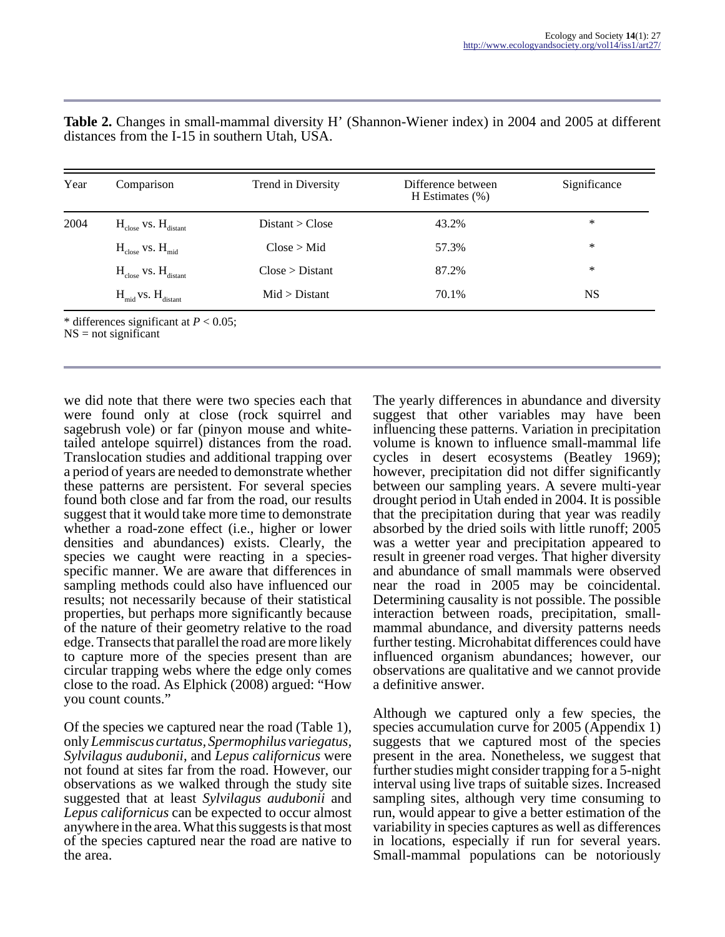| Year | Comparison                    | Trend in Diversity | Difference between<br>H Estimates $(\%)$ | Significance |
|------|-------------------------------|--------------------|------------------------------------------|--------------|
| 2004 | $H_{close}$ vs. $H_{distant}$ | Distance > Close   | 43.2%                                    | ∗            |
|      | $H_{close}$ vs. $H_{mid}$     | Close > Mid        | 57.3%                                    | *            |
|      | $H_{close}$ vs. $H_{distant}$ | Close > Distant    | 87.2%                                    | *            |
|      | $H_{mid}$ vs. $H_{distant}$   | $Mid$ $>$ Distant  | 70.1%                                    | <b>NS</b>    |

**Table 2.** Changes in small-mammal diversity H' (Shannon-Wiener index) in 2004 and 2005 at different distances from the I-15 in southern Utah, USA.

\* differences significant at  $P < 0.05$ ;

 $NS = not significant$ 

we did note that there were two species each that were found only at close (rock squirrel and sagebrush vole) or far (pinyon mouse and whitetailed antelope squirrel) distances from the road. Translocation studies and additional trapping over a period of years are needed to demonstrate whether these patterns are persistent. For several species found both close and far from the road, our results suggest that it would take more time to demonstrate whether a road-zone effect (i.e., higher or lower densities and abundances) exists. Clearly, the species we caught were reacting in a speciesspecific manner. We are aware that differences in sampling methods could also have influenced our results; not necessarily because of their statistical properties, but perhaps more significantly because of the nature of their geometry relative to the road edge. Transects that parallel the road are more likely to capture more of the species present than are circular trapping webs where the edge only comes close to the road. As Elphick (2008) argued: "How you count counts."

Of the species we captured near the road (Table 1), only *Lemmiscus curtatus, Spermophilus variegatus, Sylvilagus audubonii*, and *Lepus californicus* were not found at sites far from the road. However, our observations as we walked through the study site suggested that at least *Sylvilagus audubonii* and *Lepus californicus* can be expected to occur almost anywhere in the area. What this suggests is that most of the species captured near the road are native to the area.

The yearly differences in abundance and diversity suggest that other variables may have been influencing these patterns. Variation in precipitation volume is known to influence small-mammal life cycles in desert ecosystems (Beatley 1969); however, precipitation did not differ significantly between our sampling years. A severe multi-year drought period in Utah ended in 2004. It is possible that the precipitation during that year was readily absorbed by the dried soils with little runoff; 2005 was a wetter year and precipitation appeared to result in greener road verges. That higher diversity and abundance of small mammals were observed near the road in 2005 may be coincidental. Determining causality is not possible. The possible interaction between roads, precipitation, smallmammal abundance, and diversity patterns needs further testing. Microhabitat differences could have influenced organism abundances; however, our observations are qualitative and we cannot provide a definitive answer.

Although we captured only a few species, the species accumulation curve for 2005 (Appendix 1) suggests that we captured most of the species present in the area. Nonetheless, we suggest that further studies might consider trapping for a 5-night interval using live traps of suitable sizes. Increased sampling sites, although very time consuming to run, would appear to give a better estimation of the variability in species captures as well as differences in locations, especially if run for several years. Small-mammal populations can be notoriously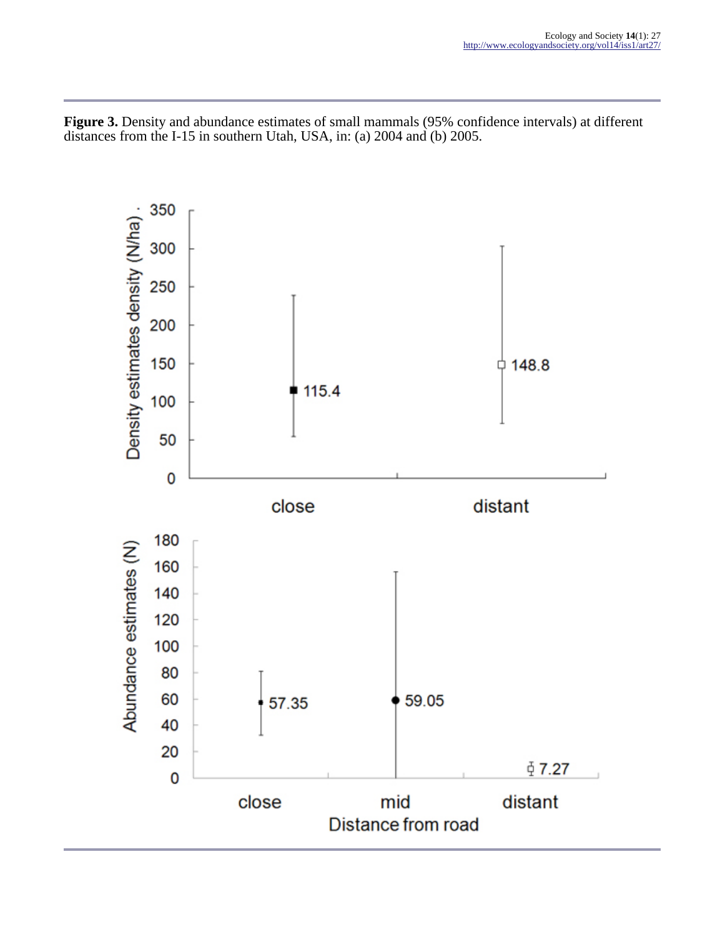**Figure 3.** Density and abundance estimates of small mammals (95% confidence intervals) at different distances from the I-15 in southern Utah, USA, in: (a) 2004 and (b) 2005.

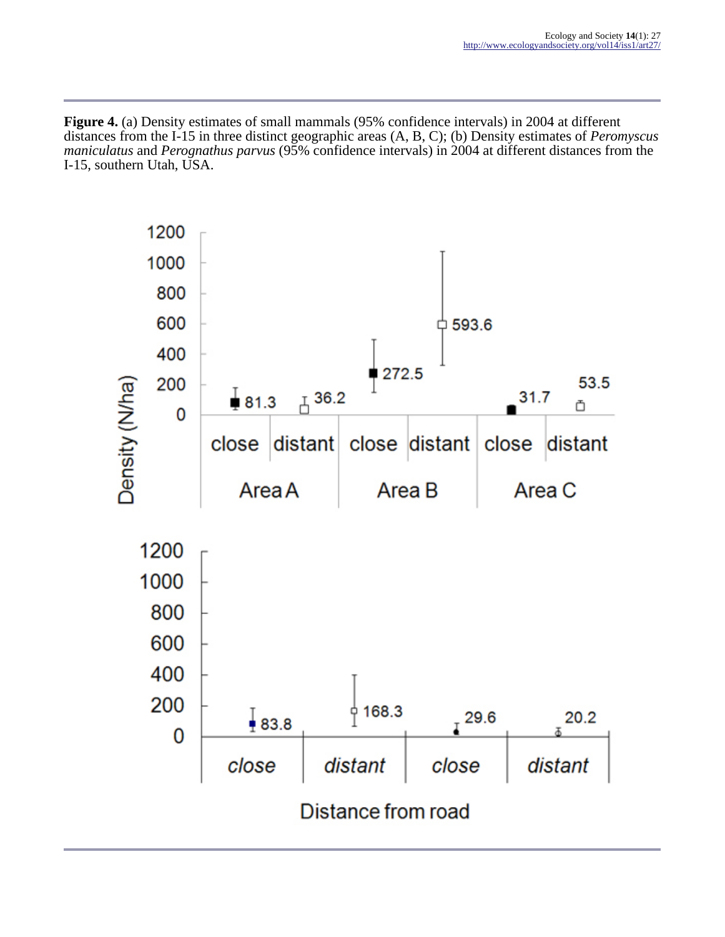**Figure 4.** (a) Density estimates of small mammals (95% confidence intervals) in 2004 at different distances from the I-15 in three distinct geographic areas (A, B, C); (b) Density estimates of *Peromyscus maniculatus* and *Perognathus parvus* (95% confidence intervals) in 2004 at different distances from the I-15, southern Utah, USA.

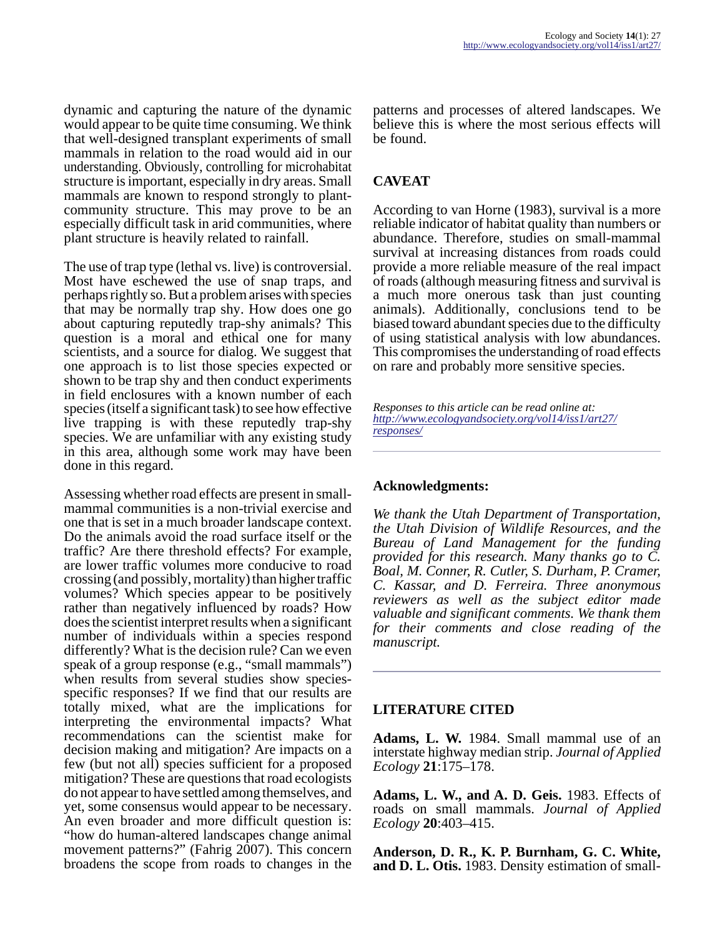dynamic and capturing the nature of the dynamic would appear to be quite time consuming. We think that well-designed transplant experiments of small mammals in relation to the road would aid in our understanding. Obviously, controlling for microhabitat structure is important, especially in dry areas. Small mammals are known to respond strongly to plantcommunity structure. This may prove to be an especially difficult task in arid communities, where plant structure is heavily related to rainfall.

The use of trap type (lethal vs. live) is controversial. Most have eschewed the use of snap traps, and perhaps rightly so. But a problem arises with species that may be normally trap shy. How does one go about capturing reputedly trap-shy animals? This question is a moral and ethical one for many scientists, and a source for dialog. We suggest that one approach is to list those species expected or shown to be trap shy and then conduct experiments in field enclosures with a known number of each species (itself a significant task) to see how effective live trapping is with these reputedly trap-shy species. We are unfamiliar with any existing study in this area, although some work may have been done in this regard.

Assessing whether road effects are present in smallmammal communities is a non-trivial exercise and one that is set in a much broader landscape context. Do the animals avoid the road surface itself or the traffic? Are there threshold effects? For example, are lower traffic volumes more conducive to road crossing (and possibly, mortality) than higher traffic volumes? Which species appear to be positively rather than negatively influenced by roads? How does the scientist interpret results when a significant number of individuals within a species respond differently? What is the decision rule? Can we even speak of a group response (e.g., "small mammals") when results from several studies show speciesspecific responses? If we find that our results are totally mixed, what are the implications for interpreting the environmental impacts? What recommendations can the scientist make for decision making and mitigation? Are impacts on a few (but not all) species sufficient for a proposed mitigation? These are questions that road ecologists do not appear to have settled among themselves, and yet, some consensus would appear to be necessary. An even broader and more difficult question is: "how do human-altered landscapes change animal movement patterns?" (Fahrig 2007). This concern broadens the scope from roads to changes in the

patterns and processes of altered landscapes. We believe this is where the most serious effects will be found.

# **CAVEAT**

According to van Horne (1983), survival is a more reliable indicator of habitat quality than numbers or abundance. Therefore, studies on small-mammal survival at increasing distances from roads could provide a more reliable measure of the real impact of roads (although measuring fitness and survival is a much more onerous task than just counting animals). Additionally, conclusions tend to be biased toward abundant species due to the difficulty of using statistical analysis with low abundances. This compromises the understanding of road effects on rare and probably more sensitive species.

*Responses to this article can be read online at: [http://www](http://www.ecologyandsociety.org/vol14/iss1/art27/responses/).ecologyandsociety.org/vol14/iss1/art27/ responses/*

### **Acknowledgments:**

*We thank the Utah Department of Transportation, the Utah Division of Wildlife Resources, and the Bureau of Land Management for the funding provided for this research. Many thanks go to C. Boal, M. Conner, R. Cutler, S. Durham, P. Cramer, C. Kassar, and D. Ferreira. Three anonymous reviewers as well as the subject editor made valuable and significant comments. We thank them for their comments and close reading of the manuscript.*

### **LITERATURE CITED**

**Adams, L. W.** 1984. Small mammal use of an interstate highway median strip. *Journal of Applied Ecology* **21**:175–178.

**Adams, L. W., and A. D. Geis.** 1983. Effects of roads on small mammals. *Journal of Applied Ecology* **20**:403–415.

**Anderson, D. R., K. P. Burnham, G. C. White, and D. L. Otis.** 1983. Density estimation of small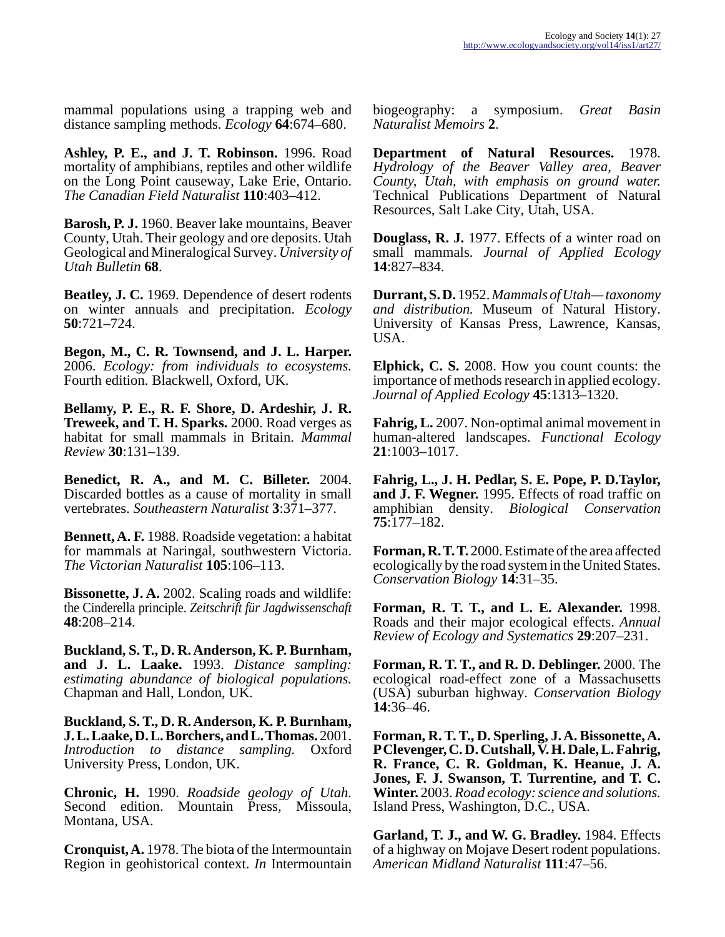mammal populations using a trapping web and distance sampling methods. *Ecology* **64**:674–680.

**Ashley, P. E., and J. T. Robinson.** 1996. Road mortality of amphibians, reptiles and other wildlife on the Long Point causeway, Lake Erie, Ontario. *The Canadian Field Naturalist* **110**:403–412.

**Barosh, P. J.** 1960. Beaver lake mountains, Beaver County, Utah. Their geology and ore deposits. Utah Geological and Mineralogical Survey. *University of Utah Bulletin* **68**.

**Beatley, J. C.** 1969. Dependence of desert rodents on winter annuals and precipitation. *Ecology* **50**:721–724.

**Begon, M., C. R. Townsend, and J. L. Harper.** 2006. *Ecology: from individuals to ecosystems.* Fourth edition. Blackwell, Oxford, UK.

**Bellamy, P. E., R. F. Shore, D. Ardeshir, J. R. Treweek, and T. H. Sparks.** 2000. Road verges as habitat for small mammals in Britain. *Mammal Review* **30**:131–139.

**Benedict, R. A., and M. C. Billeter.** 2004. Discarded bottles as a cause of mortality in small vertebrates. *Southeastern Naturalist* **3**:371–377.

**Bennett, A. F.** 1988. Roadside vegetation: a habitat for mammals at Naringal, southwestern Victoria. *The Victorian Naturalist* **105**:106–113.

**Bissonette, J. A.** 2002. Scaling roads and wildlife: the Cinderella principle. *Zeitschrift für Jagdwissenschaft* **48**:208–214.

**Buckland, S. T., D. R. Anderson, K. P. Burnham, and J. L. Laake.** 1993. *Distance sampling: estimating abundance of biological populations.* Chapman and Hall, London, UK.

**Buckland, S. T., D. R. Anderson, K. P. Burnham, J. L. Laake, D. L. Borchers, and L. Thomas.** 2001. *Introduction to distance sampling.* Oxford University Press, London, UK.

**Chronic, H.** 1990. *Roadside geology of Utah.* Second edition. Mountain Press, Missoula, Montana, USA.

**Cronquist, A.** 1978. The biota of the Intermountain Region in geohistorical context. *In* Intermountain biogeography: a symposium. *Great Basin Naturalist Memoirs* **2**.

**Department of Natural Resources.** 1978. *Hydrology of the Beaver Valley area, Beaver County, Utah, with emphasis on ground water.* Technical Publications Department of Natural Resources, Salt Lake City, Utah, USA.

**Douglass, R. J.** 1977. Effects of a winter road on small mammals. *Journal of Applied Ecology* **14**:827–834.

**Durrant, S. D.** 1952. *Mammals of Utah— taxonomy and distribution.* Museum of Natural History. University of Kansas Press, Lawrence, Kansas, USA.

**Elphick, C. S.** 2008. How you count counts: the importance of methods research in applied ecology. *Journal of Applied Ecology* **45**:1313–1320.

**Fahrig, L.** 2007. Non-optimal animal movement in human-altered landscapes. *Functional Ecology* **21**:1003–1017.

**Fahrig, L., J. H. Pedlar, S. E. Pope, P. D.Taylor, and J. F. Wegner.** 1995. Effects of road traffic on amphibian density. *Biological Conservation* **75**:177–182.

**Forman, R. T. T.** 2000. Estimate of the area affected ecologically by the road system in the United States. *Conservation Biology* **14**:31–35.

**Forman, R. T. T., and L. E. Alexander.** 1998. Roads and their major ecological effects. *Annual Review of Ecology and Systematics* **29**:207–231.

**Forman, R. T. T., and R. D. Deblinger.** 2000. The ecological road-effect zone of a Massachusetts (USA) suburban highway. *Conservation Biology* **14**:36–46.

**Forman, R. T. T., D. Sperling, J. A. Bissonette, A. P Clevenger, C. D. Cutshall, V. H. Dale, L. Fahrig, R. France, C. R. Goldman, K. Heanue, J. A. Jones, F. J. Swanson, T. Turrentine, and T. C. Winter.** 2003. *Road ecology: science and solutions.* Island Press, Washington, D.C., USA.

**Garland, T. J., and W. G. Bradley.** 1984. Effects of a highway on Mojave Desert rodent populations. *American Midland Naturalist* **111**:47–56.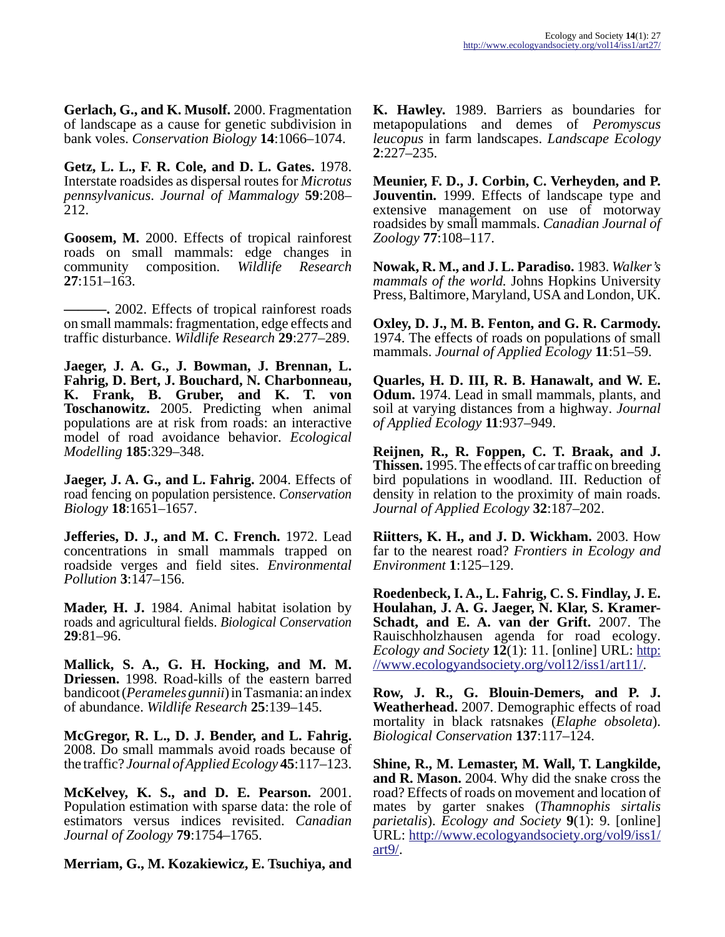**Gerlach, G., and K. Musolf.** 2000. Fragmentation of landscape as a cause for genetic subdivision in bank voles. *Conservation Biology* **14**:1066–1074.

**Getz, L. L., F. R. Cole, and D. L. Gates.** 1978. Interstate roadsides as dispersal routes for *Microtus pennsylvanicus*. *Journal of Mammalogy* **59**:208– 212.

**Goosem, M.** 2000. Effects of tropical rainforest roads on small mammals: edge changes in<br>community composition. Wildlife Research community composition. *Wildlife Research* **27**:151–163.

**———.** 2002. Effects of tropical rainforest roads on small mammals: fragmentation, edge effects and traffic disturbance. *Wildlife Research* **29**:277–289.

**Jaeger, J. A. G., J. Bowman, J. Brennan, L. Fahrig, D. Bert, J. Bouchard, N. Charbonneau, K. Frank, B. Gruber, and K. T. von Toschanowitz.** 2005. Predicting when animal populations are at risk from roads: an interactive model of road avoidance behavior. *Ecological Modelling* **185**:329–348.

**Jaeger, J. A. G., and L. Fahrig.** 2004. Effects of road fencing on population persistence. *Conservation Biology* **18**:1651–1657.

**Jefferies, D. J., and M. C. French.** 1972. Lead concentrations in small mammals trapped on roadside verges and field sites. *Environmental Pollution* **3**:147–156.

**Mader, H. J.** 1984. Animal habitat isolation by roads and agricultural fields. *Biological Conservation* **29**:81–96.

**Mallick, S. A., G. H. Hocking, and M. M. Driessen.** 1998. Road-kills of the eastern barred bandicoot (*Perameles gunnii*) in Tasmania: an index of abundance. *Wildlife Research* **25**:139–145.

**McGregor, R. L., D. J. Bender, and L. Fahrig.** 2008. Do small mammals avoid roads because of the traffic? *Journal of Applied Ecology* **45**:117–123.

**McKelvey, K. S., and D. E. Pearson.** 2001. Population estimation with sparse data: the role of estimators versus indices revisited. *Canadian Journal of Zoology* **79**:1754–1765.

**Merriam, G., M. Kozakiewicz, E. Tsuchiya, and**

**K. Hawley.** 1989. Barriers as boundaries for metapopulations and demes of *Peromyscus leucopus* in farm landscapes. *Landscape Ecology* **2**:227–235.

**Meunier, F. D., J. Corbin, C. Verheyden, and P. Jouventin.** 1999. Effects of landscape type and extensive management on use of motorway roadsides by small mammals. *Canadian Journal of Zoology* **77**:108–117.

**Nowak, R. M., and J. L. Paradiso.** 1983. *Walker's mammals of the world.* Johns Hopkins University Press, Baltimore, Maryland, USA and London, UK.

**Oxley, D. J., M. B. Fenton, and G. R. Carmody.** 1974. The effects of roads on populations of small mammals. *Journal of Applied Ecology* **11**:51–59.

**Quarles, H. D. III, R. B. Hanawalt, and W. E. Odum.** 1974. Lead in small mammals, plants, and soil at varying distances from a highway. *Journal of Applied Ecology* **11**:937–949.

**Reijnen, R., R. Foppen, C. T. Braak, and J. Thissen.** 1995. The effects of car traffic on breeding bird populations in woodland. III. Reduction of density in relation to the proximity of main roads. *Journal of Applied Ecology* **32**:187–202.

**Riitters, K. H., and J. D. Wickham.** 2003. How far to the nearest road? *Frontiers in Ecology and Environment* **1**:125–129.

**Roedenbeck, I. A., L. Fahrig, C. S. Findlay, J. E. Houlahan, J. A. G. Jaeger, N. Klar, S. Kramer-Schadt, and E. A. van der Grift.** 2007. The Rauischholzhausen agenda for road ecology. *Ecology and Society* **12**(1): 11. [online] URL: [http:](http://www.ecologyandsociety.org/vol12/iss1/art11/) [//www.ecologyandsociety.org/vol12/iss1/art11/.](http://www.ecologyandsociety.org/vol12/iss1/art11/)

**Row, J. R., G. Blouin-Demers, and P. J. Weatherhead.** 2007. Demographic effects of road mortality in black ratsnakes (*Elaphe obsoleta*). *Biological Conservation* **137**:117–124.

**Shine, R., M. Lemaster, M. Wall, T. Langkilde, and R. Mason.** 2004. Why did the snake cross the road? Effects of roads on movement and location of mates by garter snakes (*Thamnophis sirtalis parietalis*). *Ecology and Society* **9**(1): 9. [online] URL: [http://www.ecologyandsociety.org/vol9/iss1/](http://www.ecologyandsociety.org/vol9/iss1/art9/) [art9/.](http://www.ecologyandsociety.org/vol9/iss1/art9/)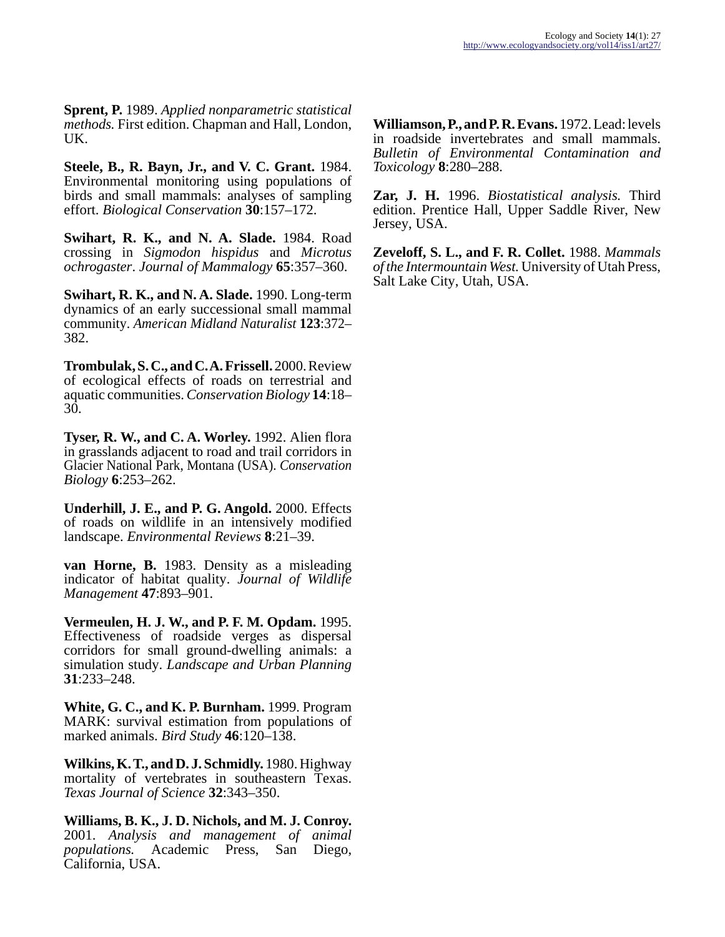**Sprent, P.** 1989. *Applied nonparametric statistical methods.* First edition. Chapman and Hall, London, UK.

**Steele, B., R. Bayn, Jr., and V. C. Grant.** 1984. Environmental monitoring using populations of birds and small mammals: analyses of sampling effort. *Biological Conservation* **30**:157–172.

**Swihart, R. K., and N. A. Slade.** 1984. Road crossing in *Sigmodon hispidus* and *Microtus ochrogaster*. *Journal of Mammalogy* **65**:357–360.

**Swihart, R. K., and N. A. Slade.** 1990. Long-term dynamics of an early successional small mammal community. *American Midland Naturalist* **123**:372– 382.

**Trombulak, S. C., and C. A. Frissell.** 2000. Review of ecological effects of roads on terrestrial and aquatic communities. *Conservation Biology* **14**:18– 30.

**Tyser, R. W., and C. A. Worley.** 1992. Alien flora in grasslands adjacent to road and trail corridors in Glacier National Park, Montana (USA). *Conservation Biology* **6**:253–262.

**Underhill, J. E., and P. G. Angold.** 2000. Effects of roads on wildlife in an intensively modified landscape. *Environmental Reviews* **8**:21–39.

**van Horne, B.** 1983. Density as a misleading indicator of habitat quality. *Journal of Wildlife Management* **47**:893–901.

**Vermeulen, H. J. W., and P. F. M. Opdam.** 1995. Effectiveness of roadside verges as dispersal corridors for small ground-dwelling animals: a simulation study. *Landscape and Urban Planning* **31**:233–248.

**White, G. C., and K. P. Burnham.** 1999. Program MARK: survival estimation from populations of marked animals. *Bird Study* **46**:120–138.

**Wilkins, K. T., and D. J. Schmidly.** 1980. Highway mortality of vertebrates in southeastern Texas. *Texas Journal of Science* **32**:343–350.

**Williams, B. K., J. D. Nichols, and M. J. Conroy.** 2001. *Analysis and management of animal populations.* Academic Press, San Diego, California, USA.

**Williamson, P., and P. R. Evans.** 1972. Lead: levels in roadside invertebrates and small mammals. *Bulletin of Environmental Contamination and Toxicology* **8**:280–288.

**Zar, J. H.** 1996. *Biostatistical analysis.* Third edition. Prentice Hall, Upper Saddle River, New Jersey, USA.

**Zeveloff, S. L., and F. R. Collet.** 1988. *Mammals of the Intermountain West.* University of Utah Press, Salt Lake City, Utah, USA.